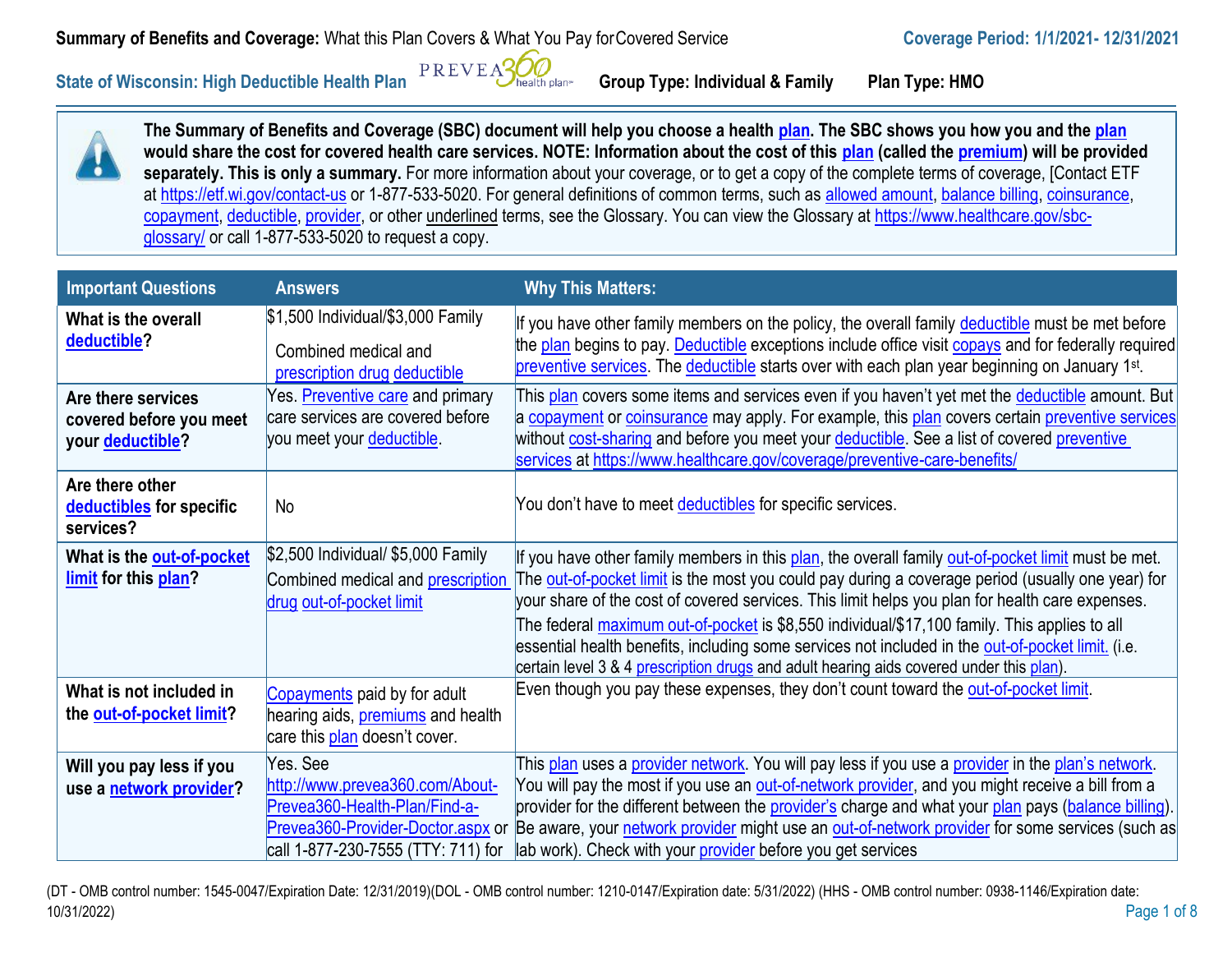## **Summary of Benefits and Coverage:** What this Plan Covers & What You Pay for Covered Service **Coverage Period:** 1/1/2021-12/31/2021

**State of Wisconsin: High Deductible Health Plan**  $\frac{PREVEAGQ}{PREWEAGP}$  Group Type: Individual & Family Plan Type: HMO



**The Summary of Benefits and Coverage (SBC) document will help you choose a health [plan. T](https://www.healthcare.gov/sbc-glossary/#plan)he SBC shows you how you and th[e plan](https://www.healthcare.gov/sbc-glossary/#plan) would share the cost for covered health care services. NOTE: Information about the cost of this [plan](https://www.healthcare.gov/sbc-glossary/#plan) (called th[e premium\)](https://www.healthcare.gov/sbc-glossary/#premium) will be provided separately. This is only a summary.** For more information about your coverage, or to get a copy of the complete terms of coverage, [Contact ETF at<https://etf.wi.gov/contact-us> or 1-877-533-5020. For general definitions of common terms, such as [allowed amount,](https://www.healthcare.gov/sbc-glossary/#allowed-amount) [balance billing,](https://www.healthcare.gov/sbc-glossary/#balance-billing) coinsurance, [copayment,](https://www.healthcare.gov/sbc-glossary/#copayment) [deductible,](https://www.healthcare.gov/sbc-glossary/#deductible) [provider, o](https://www.healthcare.gov/sbc-glossary/#provider)r other underlined terms, see the Glossary. You can view the Glossary at [https://www.healthcare.gov/sbc](https://www.healthcare.gov/sbc-glossary/)[glossary/](https://www.healthcare.gov/sbc-glossary/) or call 1-877-533-5020 to request a copy.

| <b>Important Questions</b>                                        | <b>Answers</b>                                                                                                                                          | <b>Why This Matters:</b>                                                                                                                                                                                                                                                                                                                                                                                                                                                                                                                                                                                          |
|-------------------------------------------------------------------|---------------------------------------------------------------------------------------------------------------------------------------------------------|-------------------------------------------------------------------------------------------------------------------------------------------------------------------------------------------------------------------------------------------------------------------------------------------------------------------------------------------------------------------------------------------------------------------------------------------------------------------------------------------------------------------------------------------------------------------------------------------------------------------|
| What is the overall<br>deductible?                                | \$1,500 Individual/\$3,000 Family<br>Combined medical and<br>prescription drug deductible                                                               | If you have other family members on the policy, the overall family deductible must be met before<br>the plan begins to pay. Deductible exceptions include office visit copays and for federally required<br>preventive services. The deductible starts over with each plan year beginning on January 1 <sup>st</sup> .                                                                                                                                                                                                                                                                                            |
| Are there services<br>covered before you meet<br>your deductible? | Yes. Preventive care and primary<br>care services are covered before<br>you meet your deductible.                                                       | This plan covers some items and services even if you haven't yet met the deductible amount. But<br>a copayment or coinsurance may apply. For example, this plan covers certain preventive services<br>without cost-sharing and before you meet your deductible. See a list of covered preventive<br>services at https://www.healthcare.gov/coverage/preventive-care-benefits/                                                                                                                                                                                                                                     |
| Are there other<br>deductibles for specific<br>services?          | <b>No</b>                                                                                                                                               | You don't have to meet deductibles for specific services.                                                                                                                                                                                                                                                                                                                                                                                                                                                                                                                                                         |
| What is the out-of-pocket<br>limit for this plan?                 | \$2,500 Individual/ \$5,000 Family<br>Combined medical and <b>prescription</b><br>drug out-of-pocket limit                                              | If you have other family members in this plan, the overall family out-of-pocket limit must be met.<br>The <b>out-of-pocket limit</b> is the most you could pay during a coverage period (usually one year) for<br>your share of the cost of covered services. This limit helps you plan for health care expenses.<br>The federal maximum out-of-pocket is \$8,550 individual/\$17,100 family. This applies to all<br>essential health benefits, including some services not included in the out-of-pocket limit. (i.e.<br>certain level 3 & 4 prescription drugs and adult hearing aids covered under this plan). |
| What is not included in<br>the out-of-pocket limit?               | Copayments paid by for adult<br>hearing aids, <b>premiums</b> and health<br>care this plan doesn't cover.                                               | Even though you pay these expenses, they don't count toward the out-of-pocket limit.                                                                                                                                                                                                                                                                                                                                                                                                                                                                                                                              |
| Will you pay less if you<br>use a network provider?               | Yes. See<br>http://www.prevea360.com/About-<br>Prevea360-Health-Plan/Find-a-<br>Prevea360-Provider-Doctor.aspx or<br>call 1-877-230-7555 (TTY: 711) for | This plan uses a provider network. You will pay less if you use a provider in the plan's network.<br>You will pay the most if you use an <b>out-of-network provider</b> , and you might receive a bill from a<br>provider for the different between the provider's charge and what your plan pays (balance billing).<br>Be aware, your network provider might use an out-of-network provider for some services (such as<br>lab work). Check with your provider before you get services                                                                                                                            |

(DT - OMB control number: 1545-0047/Expiration Date: 12/31/2019)(DOL - OMB control number: 1210-0147/Expiration date: 5/31/2022) (HHS - OMB control number: 0938-1146/Expiration date: 10/31/2022) Page 1 of 8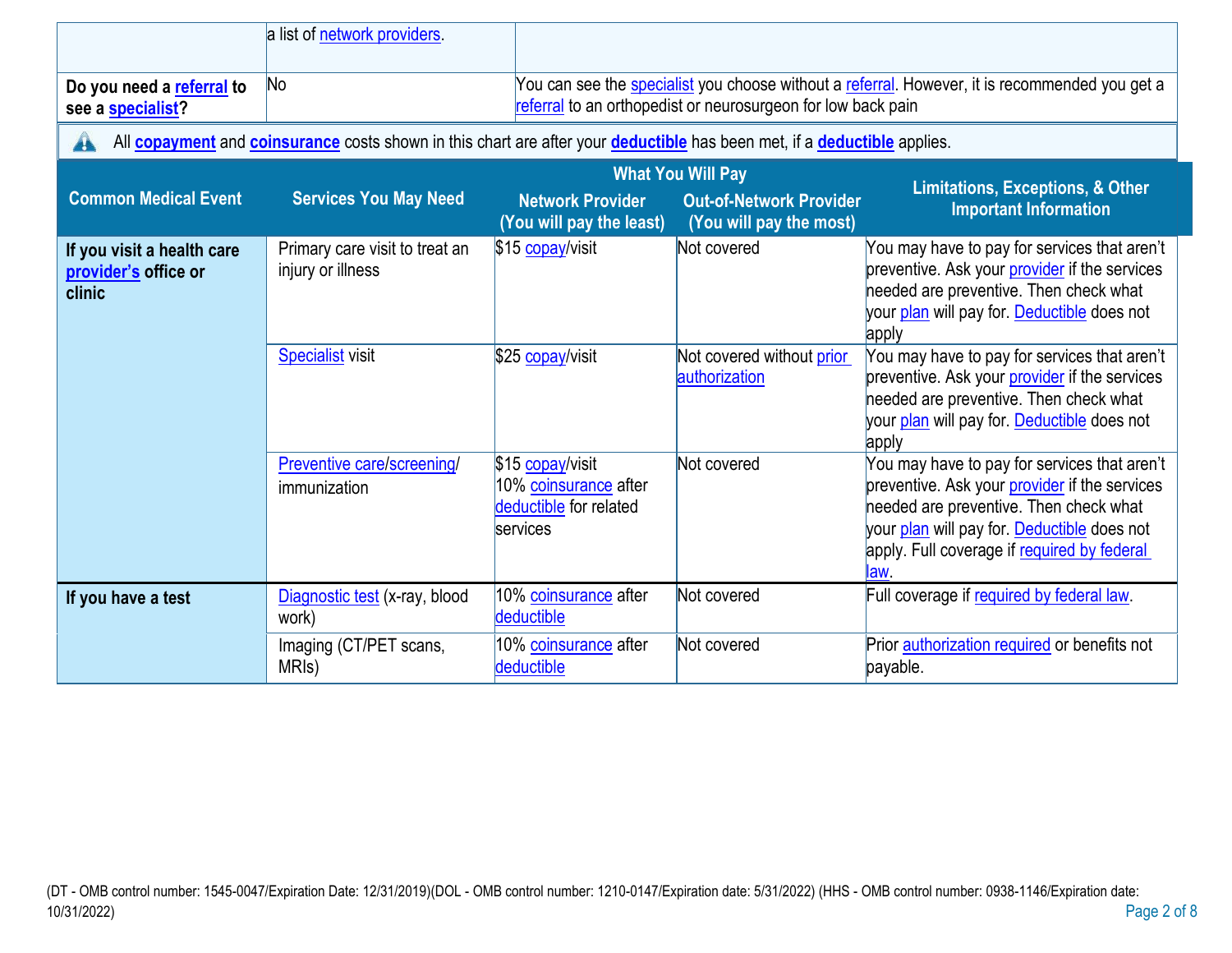| Do you need a referral to<br>see a specialist?               | a list of network providers.<br>N <sub>o</sub>                                                                                                       |                                                                                 | referral to an orthopedist or neurosurgeon for low back pain                          | You can see the <b>specialist</b> you choose without a referral. However, it is recommended you get a                                                                                                                                         |
|--------------------------------------------------------------|------------------------------------------------------------------------------------------------------------------------------------------------------|---------------------------------------------------------------------------------|---------------------------------------------------------------------------------------|-----------------------------------------------------------------------------------------------------------------------------------------------------------------------------------------------------------------------------------------------|
| A                                                            | All <b>copayment</b> and <b>coinsurance</b> costs shown in this chart are after your <b>deductible</b> has been met, if a <b>deductible</b> applies. |                                                                                 |                                                                                       |                                                                                                                                                                                                                                               |
| <b>Common Medical Event</b>                                  | <b>Services You May Need</b>                                                                                                                         | <b>Network Provider</b><br>(You will pay the least)                             | <b>What You Will Pay</b><br><b>Out-of-Network Provider</b><br>(You will pay the most) | <b>Limitations, Exceptions, &amp; Other</b><br><b>Important Information</b>                                                                                                                                                                   |
| If you visit a health care<br>provider's office or<br>clinic | Primary care visit to treat an<br>injury or illness                                                                                                  | \$15 copay/visit                                                                | Not covered                                                                           | You may have to pay for services that aren't<br>preventive. Ask your provider if the services<br>needed are preventive. Then check what<br>your plan will pay for. Deductible does not<br>apply                                               |
|                                                              | <b>Specialist</b> visit                                                                                                                              | \$25 copay/visit                                                                | Not covered without prior<br>authorization                                            | You may have to pay for services that aren't<br>preventive. Ask your provider if the services<br>needed are preventive. Then check what<br>your plan will pay for. Deductible does not<br>apply                                               |
|                                                              | Preventive care/screening/<br>immunization                                                                                                           | \$15 copay/visit<br>10% coinsurance after<br>deductible for related<br>services | Not covered                                                                           | You may have to pay for services that aren't<br>preventive. Ask your provider if the services<br>needed are preventive. Then check what<br>your plan will pay for. Deductible does not<br>apply. Full coverage if required by federal<br>law. |
| If you have a test                                           | Diagnostic test (x-ray, blood<br>work)                                                                                                               | 10% coinsurance after<br>deductible                                             | Not covered                                                                           | Full coverage if required by federal law.                                                                                                                                                                                                     |
|                                                              | Imaging (CT/PET scans,<br>MRI <sub>s</sub> )                                                                                                         | 10% coinsurance after<br>deductible                                             | Not covered                                                                           | Prior authorization required or benefits not<br>payable.                                                                                                                                                                                      |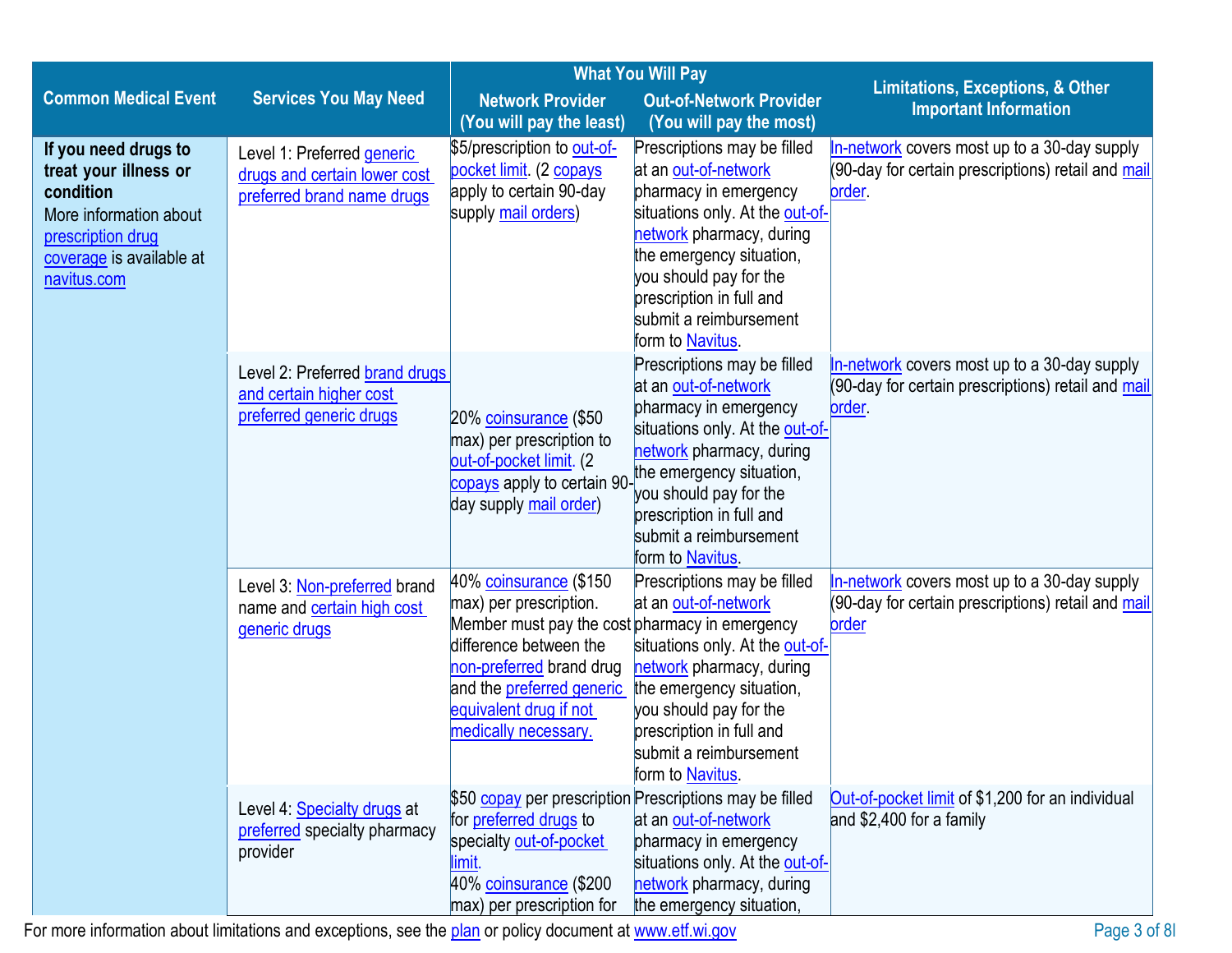|                                                                                                                                                      | <b>What You Will Pay</b>                                                                 |                                                                                                                                                                                                                                         |                                                                                                                                                                                                                                                                             |                                                                                                                    |
|------------------------------------------------------------------------------------------------------------------------------------------------------|------------------------------------------------------------------------------------------|-----------------------------------------------------------------------------------------------------------------------------------------------------------------------------------------------------------------------------------------|-----------------------------------------------------------------------------------------------------------------------------------------------------------------------------------------------------------------------------------------------------------------------------|--------------------------------------------------------------------------------------------------------------------|
| <b>Common Medical Event</b>                                                                                                                          | <b>Services You May Need</b>                                                             | <b>Network Provider</b>                                                                                                                                                                                                                 | <b>Out-of-Network Provider</b>                                                                                                                                                                                                                                              | <b>Limitations, Exceptions, &amp; Other</b><br><b>Important Information</b>                                        |
|                                                                                                                                                      |                                                                                          | (You will pay the least)                                                                                                                                                                                                                | (You will pay the most)                                                                                                                                                                                                                                                     |                                                                                                                    |
| If you need drugs to<br>treat your illness or<br>condition<br>More information about<br>prescription drug<br>coverage is available at<br>navitus.com | Level 1: Preferred generic<br>drugs and certain lower cost<br>preferred brand name drugs | \$5/prescription to out-of-<br>pocket limit. (2 copays<br>apply to certain 90-day<br>supply mail orders)                                                                                                                                | Prescriptions may be filled<br>at an out-of-network<br>pharmacy in emergency<br>situations only. At the out-of-<br>network pharmacy, during<br>the emergency situation,<br>you should pay for the<br>prescription in full and<br>submit a reimbursement<br>form to Navitus. | In-network covers most up to a 30-day supply<br>(90-day for certain prescriptions) retail and mail<br><u>order</u> |
|                                                                                                                                                      | Level 2: Preferred brand drugs<br>and certain higher cost<br>preferred generic drugs     | 20% coinsurance (\$50<br>max) per prescription to<br>out-of-pocket limit. (2<br>copays apply to certain 90-<br>day supply mail order)                                                                                                   | Prescriptions may be filled<br>at an out-of-network<br>pharmacy in emergency<br>situations only. At the out-of-<br>network pharmacy, during<br>the emergency situation,<br>you should pay for the<br>prescription in full and<br>submit a reimbursement<br>form to Navitus. | In-network covers most up to a 30-day supply<br>(90-day for certain prescriptions) retail and mail<br>order.       |
|                                                                                                                                                      | Level 3: Non-preferred brand<br>name and certain high cost<br>generic drugs              | 40% coinsurance (\$150<br>max) per prescription.<br>Member must pay the cost pharmacy in emergency<br>difference between the<br>non-preferred brand drug<br>and the preferred generic<br>equivalent drug if not<br>medically necessary. | Prescriptions may be filled<br>at an out-of-network<br>situations only. At the out-of-<br>network pharmacy, during<br>the emergency situation,<br>you should pay for the<br>prescription in full and<br>submit a reimbursement<br>form to Navitus.                          | In-network covers most up to a 30-day supply<br>(90-day for certain prescriptions) retail and mail<br>order        |
|                                                                                                                                                      | Level 4: Specialty drugs at<br>preferred specialty pharmacy<br>provider                  | \$50 copay per prescription Prescriptions may be filled<br>for <b>preferred</b> drugs to<br>specialty out-of-pocket<br>limit.<br>40% coinsurance (\$200<br>max) per prescription for                                                    | at an out-of-network<br>pharmacy in emergency<br>situations only. At the out-of-<br>network pharmacy, during<br>the emergency situation,                                                                                                                                    | Out-of-pocket limit of \$1,200 for an individual<br>and \$2,400 for a family                                       |

For more information about limitations and exceptions, see the [plan](https://www.healthcare.gov/sbc-glossary/#plan) or policy document a[t www.etf.wi.gov](http://www.etf.wi.gov/) Page 3 of 8l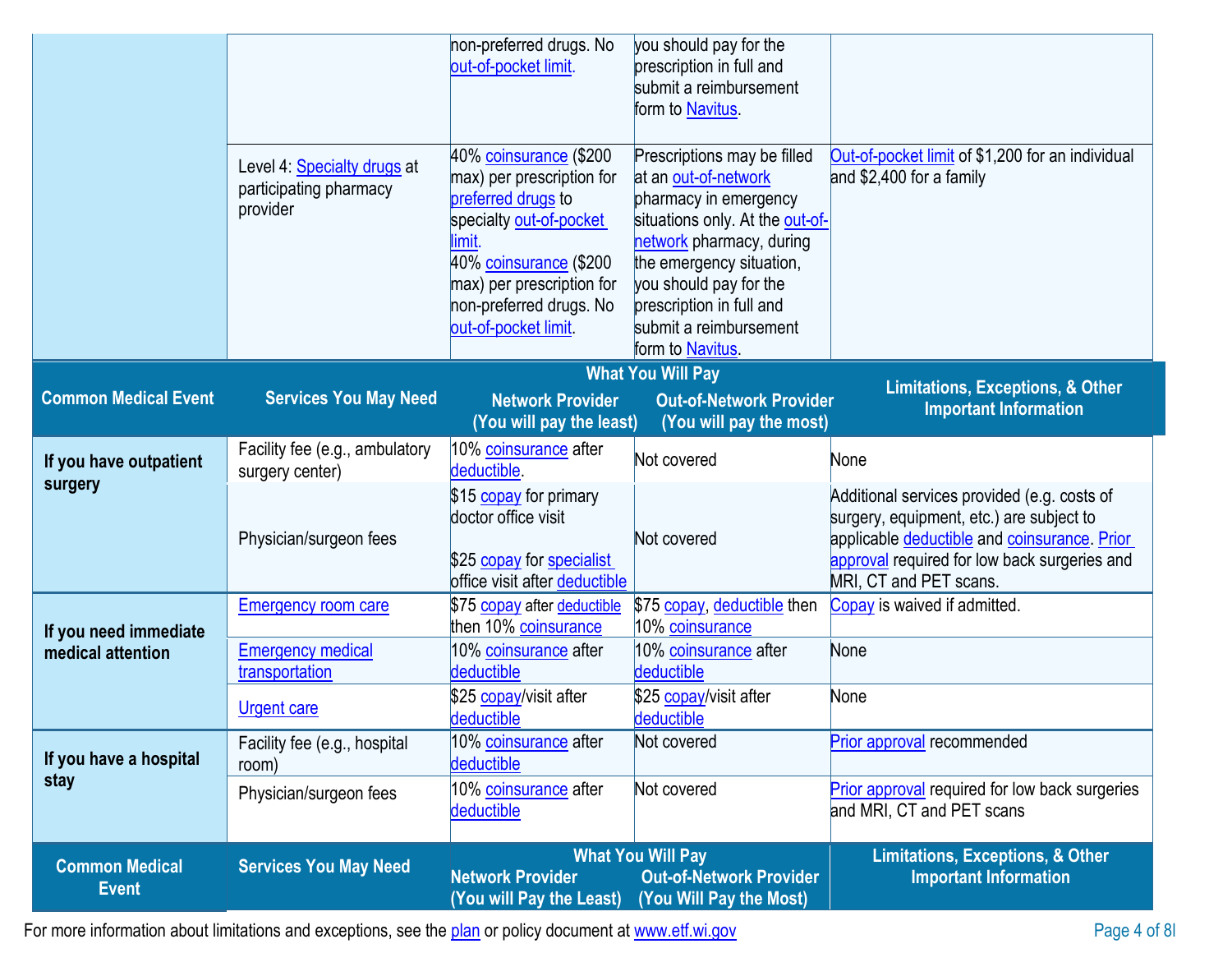|                                            |                                                                   | non-preferred drugs. No<br>out-of-pocket limit.                                                                                                                                                                         | you should pay for the<br>prescription in full and<br>submit a reimbursement<br>form to Navitus.                                                                                                                                                                            |                                                                                                                                                                                                                   |
|--------------------------------------------|-------------------------------------------------------------------|-------------------------------------------------------------------------------------------------------------------------------------------------------------------------------------------------------------------------|-----------------------------------------------------------------------------------------------------------------------------------------------------------------------------------------------------------------------------------------------------------------------------|-------------------------------------------------------------------------------------------------------------------------------------------------------------------------------------------------------------------|
|                                            | Level 4: Specialty drugs at<br>participating pharmacy<br>provider | 40% coinsurance (\$200<br>max) per prescription for<br>preferred drugs to<br>specialty out-of-pocket<br>limit.<br>40% coinsurance (\$200<br>max) per prescription for<br>non-preferred drugs. No<br>out-of-pocket limit | Prescriptions may be filled<br>at an out-of-network<br>pharmacy in emergency<br>situations only. At the out-of-<br>network pharmacy, during<br>the emergency situation,<br>you should pay for the<br>prescription in full and<br>submit a reimbursement<br>form to Navitus. | Out-of-pocket limit of \$1,200 for an individual<br>and \$2,400 for a family                                                                                                                                      |
|                                            |                                                                   |                                                                                                                                                                                                                         | <b>What You Will Pay</b>                                                                                                                                                                                                                                                    |                                                                                                                                                                                                                   |
| <b>Common Medical Event</b>                | <b>Services You May Need</b>                                      | <b>Network Provider</b><br>(You will pay the least)                                                                                                                                                                     | <b>Out-of-Network Provider</b><br>(You will pay the most)                                                                                                                                                                                                                   | <b>Limitations, Exceptions, &amp; Other</b><br><b>Important Information</b>                                                                                                                                       |
| If you have outpatient                     | Facility fee (e.g., ambulatory<br>surgery center)                 | 10% coinsurance after<br>deductible.                                                                                                                                                                                    | Not covered                                                                                                                                                                                                                                                                 | None                                                                                                                                                                                                              |
| surgery                                    | Physician/surgeon fees                                            | \$15 copay for primary<br>doctor office visit<br>\$25 copay for specialist<br>office visit after deductible                                                                                                             | Not covered                                                                                                                                                                                                                                                                 | Additional services provided (e.g. costs of<br>surgery, equipment, etc.) are subject to<br>applicable deductible and coinsurance. Prior<br>approval required for low back surgeries and<br>MRI, CT and PET scans. |
|                                            | <b>Emergency room care</b>                                        | \$75 copay after deductible                                                                                                                                                                                             | \$75 copay, deductible then                                                                                                                                                                                                                                                 | Copay is waived if admitted.                                                                                                                                                                                      |
| If you need immediate<br>medical attention | <b>Emergency medical</b><br>transportation                        | then 10% coinsurance<br>10% coinsurance after<br>deductible                                                                                                                                                             | 10% coinsurance<br>10% coinsurance after<br>deductible                                                                                                                                                                                                                      | None                                                                                                                                                                                                              |
|                                            | <b>Urgent care</b>                                                | \$25 copay/visit after<br>deductible                                                                                                                                                                                    | \$25 copay/visit after<br>deductible                                                                                                                                                                                                                                        | None                                                                                                                                                                                                              |
| If you have a hospital                     | Facility fee (e.g., hospital<br>room)                             | 10% coinsurance after<br>deductible                                                                                                                                                                                     | Not covered                                                                                                                                                                                                                                                                 | <b>Prior approval recommended</b>                                                                                                                                                                                 |
| stay                                       | Physician/surgeon fees                                            | 10% coinsurance after<br>deductible                                                                                                                                                                                     | Not covered                                                                                                                                                                                                                                                                 | Prior approval required for low back surgeries<br>and MRI, CT and PET scans                                                                                                                                       |
| <b>Common Medical</b><br><b>Event</b>      | <b>Services You May Need</b>                                      | <b>Network Provider</b><br>(You will Pay the Least)                                                                                                                                                                     | <b>What You Will Pay</b><br><b>Out-of-Network Provider</b><br>(You Will Pay the Most)                                                                                                                                                                                       | <b>Limitations, Exceptions, &amp; Other</b><br><b>Important Information</b>                                                                                                                                       |

For more information about limitations and exceptions, see the [plan](https://www.healthcare.gov/sbc-glossary/#plan) or policy document a[t www.etf.wi.gov](http://www.etf.wi.gov/) Page 4 of 8l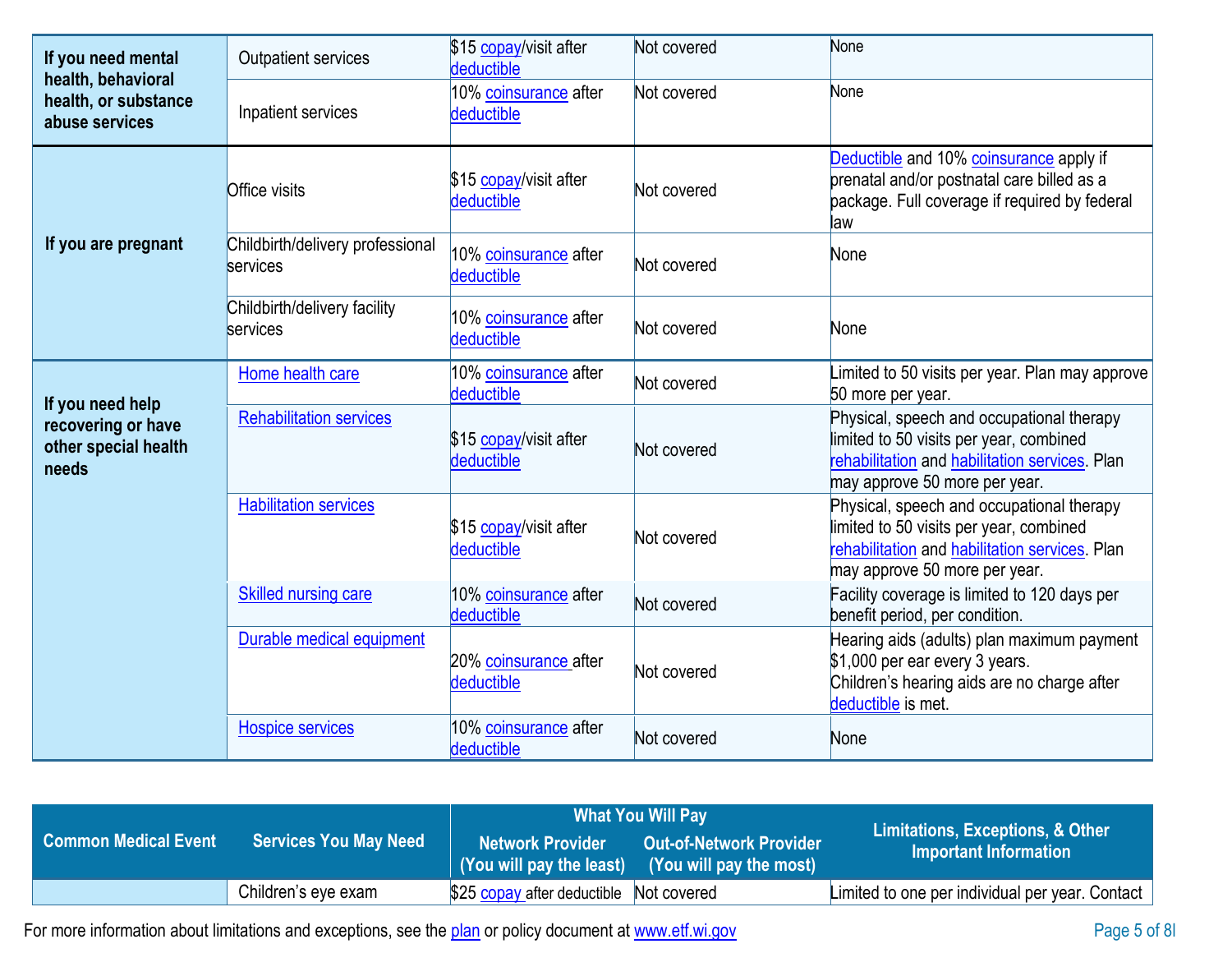| If you need mental<br>health, behavioral<br>health, or substance<br>abuse services | <b>Outpatient services</b>                   | \$15 copay/visit after<br>deductible | Not covered | None                                                                                                                                                                    |
|------------------------------------------------------------------------------------|----------------------------------------------|--------------------------------------|-------------|-------------------------------------------------------------------------------------------------------------------------------------------------------------------------|
|                                                                                    | Inpatient services                           | 10% coinsurance after<br>deductible  | Not covered | None                                                                                                                                                                    |
|                                                                                    | <b>Office visits</b>                         | \$15 copay/visit after<br>deductible | Not covered | Deductible and 10% coinsurance apply if<br>prenatal and/or postnatal care billed as a<br>package. Full coverage if required by federal<br>law                           |
| If you are pregnant                                                                | Childbirth/delivery professional<br>services | 10% coinsurance after<br>deductible  | Not covered | None                                                                                                                                                                    |
|                                                                                    | Childbirth/delivery facility<br>services     | 10% coinsurance after<br>deductible  | Not covered | None                                                                                                                                                                    |
|                                                                                    | Home health care                             | 10% coinsurance after<br>deductible  | Not covered | Limited to 50 visits per year. Plan may approve<br>50 more per year.                                                                                                    |
| If you need help<br>recovering or have<br>other special health<br>needs            | <b>Rehabilitation services</b>               | \$15 copay/visit after<br>deductible | Not covered | Physical, speech and occupational therapy<br>limited to 50 visits per year, combined<br>rehabilitation and habilitation services. Plan<br>may approve 50 more per year. |
|                                                                                    | <b>Habilitation services</b>                 | \$15 copay/visit after<br>deductible | Not covered | Physical, speech and occupational therapy<br>limited to 50 visits per year, combined<br>rehabilitation and habilitation services. Plan<br>may approve 50 more per year. |
|                                                                                    | <b>Skilled nursing care</b>                  | 10% coinsurance after<br>deductible  | Not covered | Facility coverage is limited to 120 days per<br>benefit period, per condition.                                                                                          |
|                                                                                    | Durable medical equipment                    | 20% coinsurance after<br>deductible  | Not covered | Hearing aids (adults) plan maximum payment<br>\$1,000 per ear every 3 years.<br>Children's hearing aids are no charge after<br>deductible is met.                       |
|                                                                                    | <b>Hospice services</b>                      | 10% coinsurance after<br>deductible  | Not covered | None                                                                                                                                                                    |

|                      |                              | <b>What You Will Pay</b>                            |                                                    |                                                           |
|----------------------|------------------------------|-----------------------------------------------------|----------------------------------------------------|-----------------------------------------------------------|
| Common Medical Event | <b>Services You May Need</b> | <b>Network Provider</b><br>(You will pay the least) | Out-of-Network Provider<br>(You will pay the most) | Limitations, Exceptions, & Other<br>Important Information |
|                      | Children's eye exam          | \$25 copay after deductible Not covered             |                                                    | Limited to one per individual per year. Contact           |

For more information about limitations and exceptions, see the [plan](https://www.healthcare.gov/sbc-glossary/#plan) or policy document a[t www.etf.wi.gov](http://www.etf.wi.gov/) Page 5 of 8l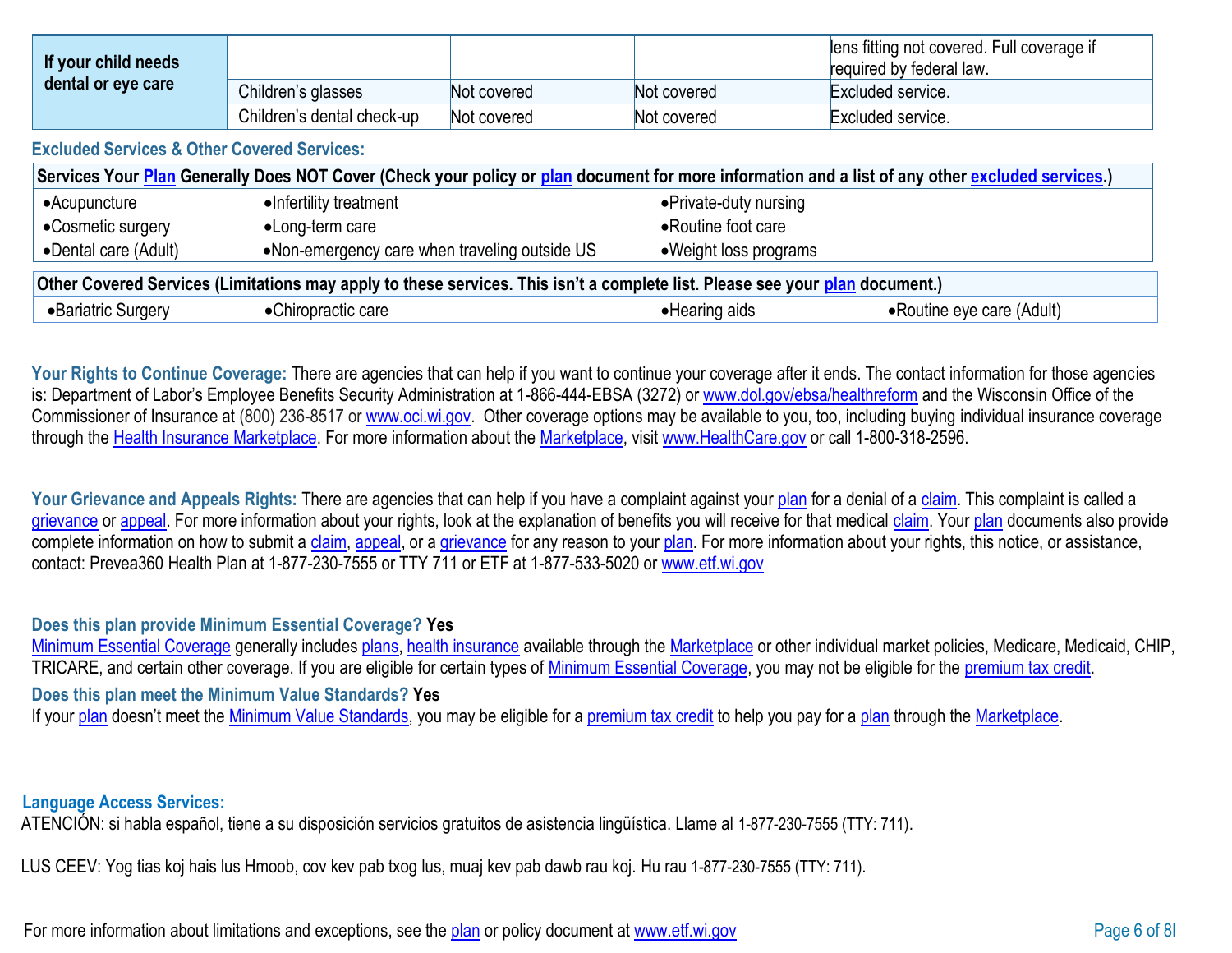| If your child needs<br>dental or eye care |                            |             |             | lens fitting not covered. Full coverage if<br>required by federal law. |
|-------------------------------------------|----------------------------|-------------|-------------|------------------------------------------------------------------------|
|                                           | Children's glasses         | Not covered | Not covered | Excluded service.                                                      |
|                                           | Children's dental check-up | Not covered | Not covered | Excluded service.                                                      |

**Excluded Services & Other Covered Services:**

| Services Your Plan Generally Does NOT Cover (Check your policy or plan document for more information and a list of any other excluded services.) |                                               |                        |                            |  |
|--------------------------------------------------------------------------------------------------------------------------------------------------|-----------------------------------------------|------------------------|----------------------------|--|
| $\bullet$ Acupuncture                                                                                                                            | •Infertility treatment                        | • Private-duty nursing |                            |  |
| •Cosmetic surgery                                                                                                                                | •Long-term care                               | • Routine foot care    |                            |  |
| •Dental care (Adult)                                                                                                                             | •Non-emergency care when traveling outside US | • Weight loss programs |                            |  |
| Other Covered Services (Limitations may apply to these services. This isn't a complete list. Please see your plan document.)                     |                                               |                        |                            |  |
| •Bariatric Surgery                                                                                                                               | •Chiropractic care                            | • Hearing aids         | • Routine eye care (Adult) |  |

Your Rights to Continue Coverage: There are agencies that can help if you want to continue your coverage after it ends. The contact information for those agencies is: Department of Labor's Employee Benefits Security Administration at 1-866-444-EBSA (3272) or [www.dol.gov/ebsa/healthreform](http://www.dol.gov/ebsa/healthreform) and the Wisconsin Office of the Commissioner of Insurance at (800) 236-8517 or [www.oci.wi.gov.](http://www.oci.wi.gov/) Other coverage options may be available to you, too, including buying individual insurance coverage through the [Health Insurance](https://www.healthcare.gov/sbc-glossary/#health-insurance) [Marketplace. F](https://www.healthcare.gov/sbc-glossary/#marketplace)or more information about the [Marketplace, v](https://www.healthcare.gov/sbc-glossary/#marketplace)isit [www.HealthCare.gov](http://www.healthcare.gov/) or call 1-800-318-2596.

Your Grievance and Appeals Rights: There are agencies that can help if you have a complaint against your [plan](https://www.healthcare.gov/sbc-glossary/#plan) for a denial of a [claim. T](https://www.healthcare.gov/sbc-glossary/#claim)his complaint is called a [grievance](https://www.healthcare.gov/sbc-glossary/#grievance) or [appeal. F](https://www.healthcare.gov/sbc-glossary/#appeal)or more information about your rights, look at the explanation of benefits you will receive for that medical [claim. Y](https://www.healthcare.gov/sbc-glossary/#claim)our [plan](https://www.healthcare.gov/sbc-glossary/#plan) documents also provide complete information on how to submit a [claim,](https://www.healthcare.gov/sbc-glossary/#claim) [appeal, o](https://www.healthcare.gov/sbc-glossary/#appeal)r a [grievance](https://www.healthcare.gov/sbc-glossary/#grievance) for any reason to your [plan. F](https://www.healthcare.gov/sbc-glossary/#plan)or more information about your rights, this notice, or assistance, contact: Prevea360 Health Plan at 1-877-230-7555 or TTY 711 or ETF at 1-877-533-5020 or [www.etf.wi.gov](http://www.etf.wi.gov/)

## **Does this plan provide Minimum Essential Coverage? Yes**

[Minimum Essential Coverage](https://www.healthcare.gov/sbc-glossary/#minimum-essential-coverage) generally includes [plans,](https://www.healthcare.gov/sbc-glossary/#plan) [health insurance](https://www.healthcare.gov/sbc-glossary/#health-insurance) available through the [Marketplace](https://www.healthcare.gov/sbc-glossary/#marketplace) or other individual market policies, Medicare, Medicaid, CHIP, TRICARE, and certain other coverage. If you are eligible for certain types of [Minimum Essential Coverage, y](https://www.healthcare.gov/sbc-glossary/#minimum-essential-coverage)ou may not be eligible for the [premium tax credit.](https://www.healthcare.gov/sbc-glossary/#premium-tax-credits) **Does this plan meet the Minimum Value Standards? Yes** If your [plan](https://www.healthcare.gov/sbc-glossary/#plan) doesn't meet the [Minimum Value Standards, y](https://www.healthcare.gov/sbc-glossary/#minimum-value-standard)ou may be eligible for a [premium tax credit](https://www.healthcare.gov/sbc-glossary/#premium-tax-credits) to help you pay for a plan through the [Marketplace.](https://www.healthcare.gov/sbc-glossary/#marketplace)

## **Language Access Services:**

ATENCIÓN: si habla español, tiene a su disposición servicios gratuitos de asistencia lingüística. Llame al 1-877-230-7555 (TTY: 711).

LUS CEEV: Yog tias koj hais lus Hmoob, cov kev pab txog lus, muaj kev pab dawb rau koj. Hu rau 1-877-230-7555 (TTY: 711).

For more information about limitations and exceptions, see the [plan](https://www.healthcare.gov/sbc-glossary/#plan) or policy document a[t www.etf.wi.gov](http://www.etf.wi.gov/) Page 6 of 8l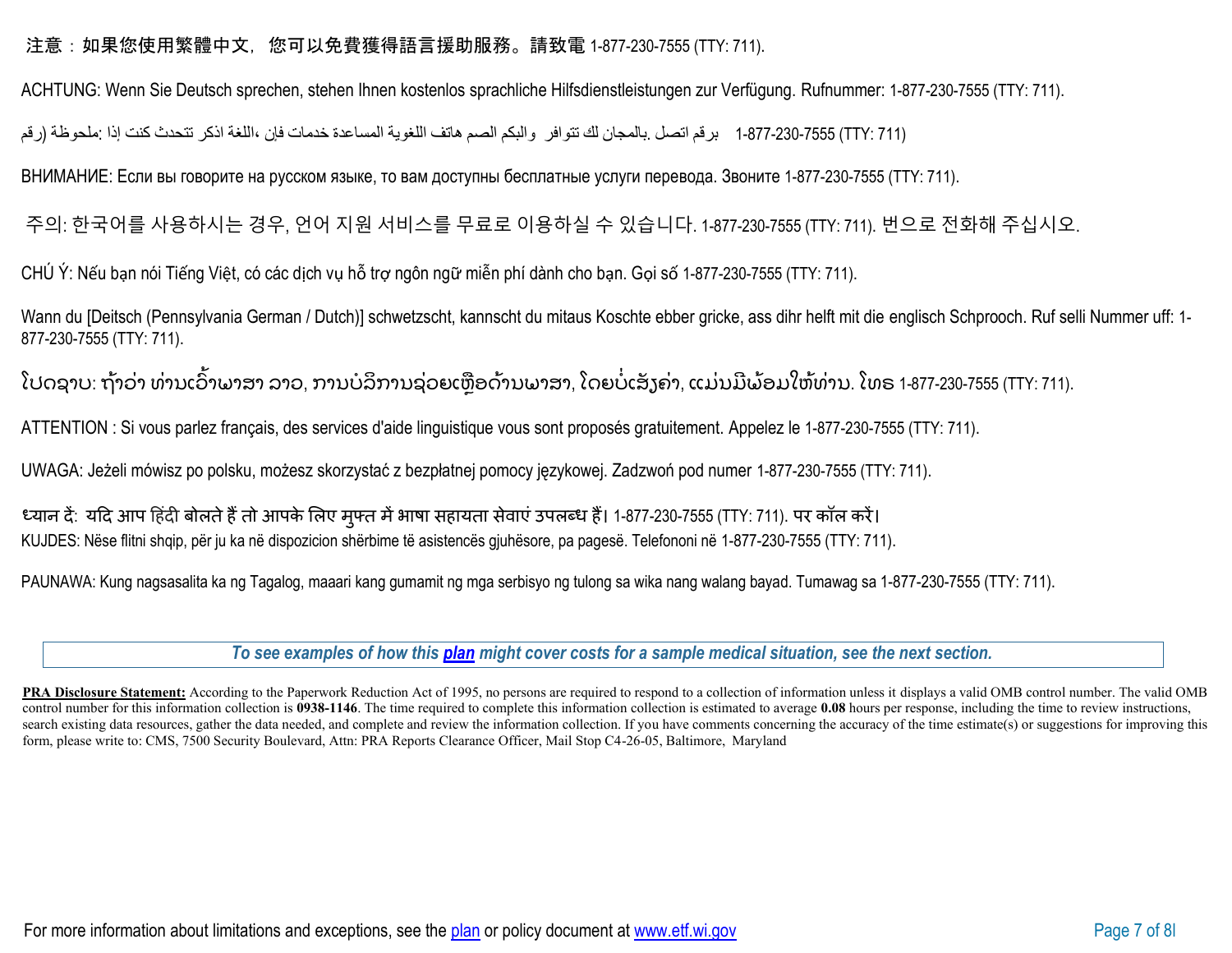## 注意:如果您使用繁體中文,您可以免費獲得語言援助服務。請致電 1-877-230-7555 (TTY: 711).

ACHTUNG: Wenn Sie Deutsch sprechen, stehen Ihnen kostenlos sprachliche Hilfsdienstleistungen zur Verfügung. Rufnummer: 1-877-230-7555 (TTY: 711).

(711 :TTY (1-877-230-7555 برقم اتصل .بالمجان لك تتوافر والبكم الصم ھاتف اللغویة المساعدة خدمات فإن ،اللغة اذكر تتحدث كنت إذا :ملحوظة (رقم

ВНИМАНИЕ: Если вы говорите на русском языке, то вам доступны бесплатные услуги перевода. Звоните 1-877-230-7555 (TTY: 711).

주의: 한국어를 사용하시는 경우, 언어 지원 서비스를 무료로 이용하실 수 있습니다. 1-877-230-7555 (TTY: 711). 번으로 전화해 주십시오.

CHÚ Ý: Nếu bạn nói Tiếng Việt, có các dịch vụ hỗ trợ ngôn ngữ miễn phí dành cho bạn. Gọi số 1-877-230-7555 (TTY: 711).

Wann du [Deitsch (Pennsylvania German / Dutch)] schwetzscht, kannscht du mitaus Koschte ebber gricke, ass dihr helft mit die englisch Schprooch. Ruf selli Nummer uff: 1- 877-230-7555 (TTY: 711).

ໂປດຊາບ: ຖ້າວ່າ ທ່ານເວົ້າພາສາ ລາວ, ການບໍລິການຊ່ວຍເຫຼືອດ້ານພາສາ, ໂດຍບໍ່ເສັງຄ່າ, ແມ່ນມີພ້ອມໃຫ້ທ່ານ. ໂທຣ 1-877-230-7555 (TTY: 711).

ATTENTION : Si vous parlez français, des services d'aide linguistique vous sont proposés gratuitement. Appelez le 1-877-230-7555 (TTY: 711).

UWAGA: Jeżeli mówisz po polsku, możesz skorzystać z bezpłatnej pomocy językowej. Zadzwoń pod numer 1-877-230-7555 (TTY: 711).

ध्यान दें: यदि आप हिंदी बोलते हैं तो आपके लिए मुफ्त में भाषा सहायता सेवाएं उपलब्ध हैं। 1-877-230-7555 (TTY: 711). पर कॉल करें। KUJDES: Nëse flitni shqip, për ju ka në dispozicion shërbime të asistencës gjuhësore, pa pagesë. Telefononi në 1-877-230-7555 (TTY: 711).

PAUNAWA: Kung nagsasalita ka ng Tagalog, maaari kang gumamit ng mga serbisyo ng tulong sa wika nang walang bayad. Tumawag sa 1-877-230-7555 (TTY: 711).

*To see examples of how this [plan](https://www.healthcare.gov/sbc-glossary/#plan) might cover costs for a sample medical situation, see the next section.*

PRA Disclosure Statement: According to the Paperwork Reduction Act of 1995, no persons are required to respond to a collection of information unless it displays a valid OMB control number. The valid OMB control number for this information collection is **0938-1146**. The time required to complete this information collection is estimated to average **0.08** hours per response, including the time to review instructions, search existing data resources, gather the data needed, and complete and review the information collection. If you have comments concerning the accuracy of the time estimate(s) or suggestions for improving this form, please write to: CMS, 7500 Security Boulevard, Attn: PRA Reports Clearance Officer, Mail Stop C4-26-05, Baltimore, Maryland